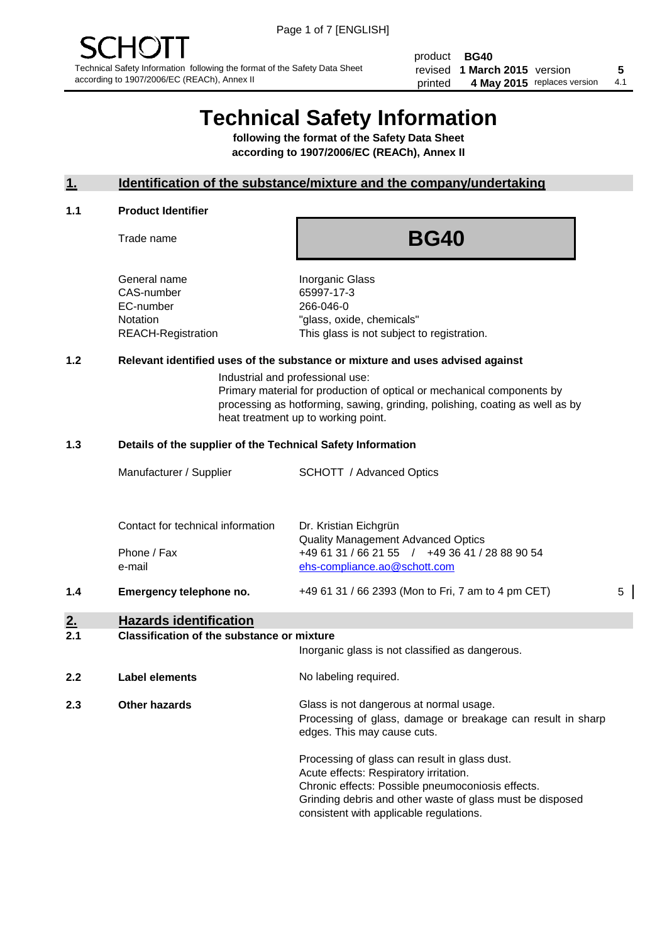product **BG40** revised **5 1 March 2015** version printed 4 May 2015 replaces version 4.1

# **Technical Safety Information**

**following the format of the Safety Data Sheet according to 1907/2006/EC (REACh), Annex II**

#### **1. Identification of the substance/mixture and the company/undertaking**

#### **1.1 Product Identifier**

Trade name

## **BG40**

General name **Inorganic Glass** CAS-number 65997-17-3 EC-number 266-046-0

Notation "glass, oxide, chemicals" REACH-Registration This glass is not subject to registration.

#### **1.2 Relevant identified uses of the substance or mixture and uses advised against**

Industrial and professional use: Primary material for production of optical or mechanical components by processing as hotforming, sawing, grinding, polishing, coating as well as by heat treatment up to working point.

#### **1.3 Details of the supplier of the Technical Safety Information**

|     | Manufacturer / Supplier                          | <b>SCHOTT</b> / Advanced Optics                                                                                      |   |
|-----|--------------------------------------------------|----------------------------------------------------------------------------------------------------------------------|---|
|     | Contact for technical information<br>Phone / Fax | Dr. Kristian Eichgrün<br><b>Quality Management Advanced Optics</b><br>+49 61 31 / 66 21 55 / +49 36 41 / 28 88 90 54 |   |
| 1.4 | e-mail<br>Emergency telephone no.                | ehs-compliance.ao@schott.com<br>+49 61 31 / 66 2393 (Mon to Fri, 7 am to 4 pm CET)                                   | 5 |
| 2.  | <b>Hazards identification</b>                    |                                                                                                                      |   |

#### **2.1 Classification of the substance or mixture**

|     |                | Inorganic glass is not classified as dangerous.                                                                                                                                                                                                      |
|-----|----------------|------------------------------------------------------------------------------------------------------------------------------------------------------------------------------------------------------------------------------------------------------|
| 2.2 | Label elements | No labeling required.                                                                                                                                                                                                                                |
| 2.3 | Other hazards  | Glass is not dangerous at normal usage.<br>Processing of glass, damage or breakage can result in sharp<br>edges. This may cause cuts.                                                                                                                |
|     |                | Processing of glass can result in glass dust.<br>Acute effects: Respiratory irritation.<br>Chronic effects: Possible pneumoconiosis effects.<br>Grinding debris and other waste of glass must be disposed<br>consistent with applicable regulations. |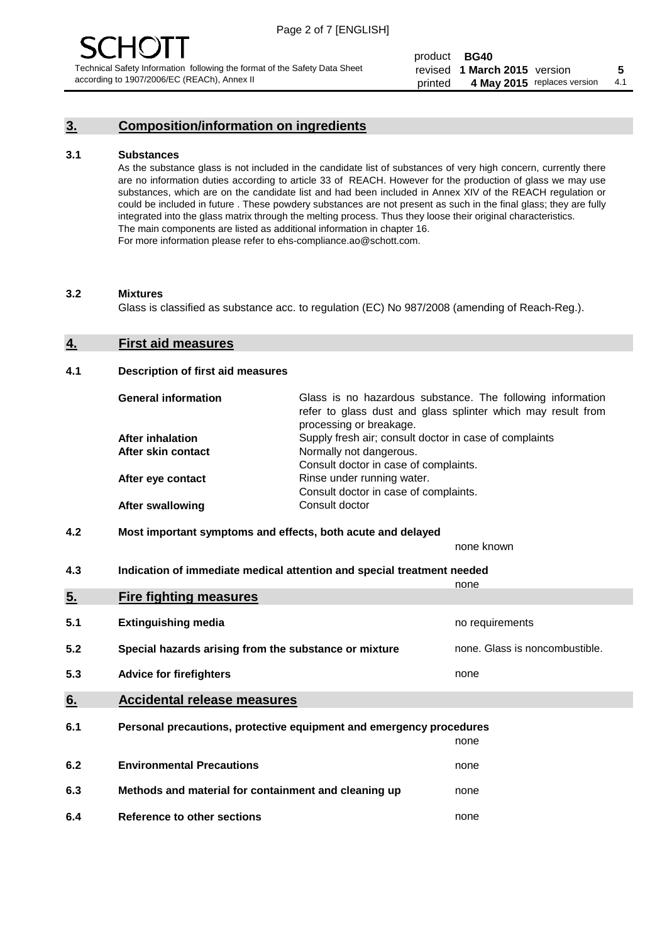#### **3. Composition/information on ingredients**

#### **3.1 Substances**

As the substance glass is not included in the candidate list of substances of very high concern, currently there are no information duties according to article 33 of REACH. However for the production of glass we may use substances, which are on the candidate list and had been included in Annex XIV of the REACH regulation or could be included in future . These powdery substances are not present as such in the final glass; they are fully integrated into the glass matrix through the melting process. Thus they loose their original characteristics. The main components are listed as additional information in chapter 16. For more information please refer to ehs-compliance.ao@schott.com.

#### **3.2 Mixtures**

Glass is classified as substance acc. to regulation (EC) No 987/2008 (amending of Reach-Reg.).

#### **4. First aid measures**

#### **4.1 Description of first aid measures**

| <b>General information</b> | Glass is no hazardous substance. The following information<br>refer to glass dust and glass splinter which may result from<br>processing or breakage. |
|----------------------------|-------------------------------------------------------------------------------------------------------------------------------------------------------|
| <b>After inhalation</b>    | Supply fresh air; consult doctor in case of complaints                                                                                                |
| After skin contact         | Normally not dangerous.                                                                                                                               |
|                            | Consult doctor in case of complaints.                                                                                                                 |
| After eye contact          | Rinse under running water.                                                                                                                            |
|                            | Consult doctor in case of complaints.                                                                                                                 |
| <b>After swallowing</b>    | Consult doctor                                                                                                                                        |

#### **4.2 Most important symptoms and effects, both acute and delayed**

none known

**4.3 Indication of immediate medical attention and special treatment needed** 

|     |                                                                     | none                           |
|-----|---------------------------------------------------------------------|--------------------------------|
| 5.  | <b>Fire fighting measures</b>                                       |                                |
| 5.1 | <b>Extinguishing media</b>                                          | no requirements                |
| 5.2 | Special hazards arising from the substance or mixture               | none. Glass is noncombustible. |
| 5.3 | <b>Advice for firefighters</b>                                      | none                           |
| 6.  | <b>Accidental release measures</b>                                  |                                |
| 6.1 | Personal precautions, protective equipment and emergency procedures |                                |
|     |                                                                     | none                           |
| 6.2 | <b>Environmental Precautions</b>                                    | none                           |
| 6.3 | Methods and material for containment and cleaning up                | none                           |
| 6.4 | Reference to other sections                                         | none                           |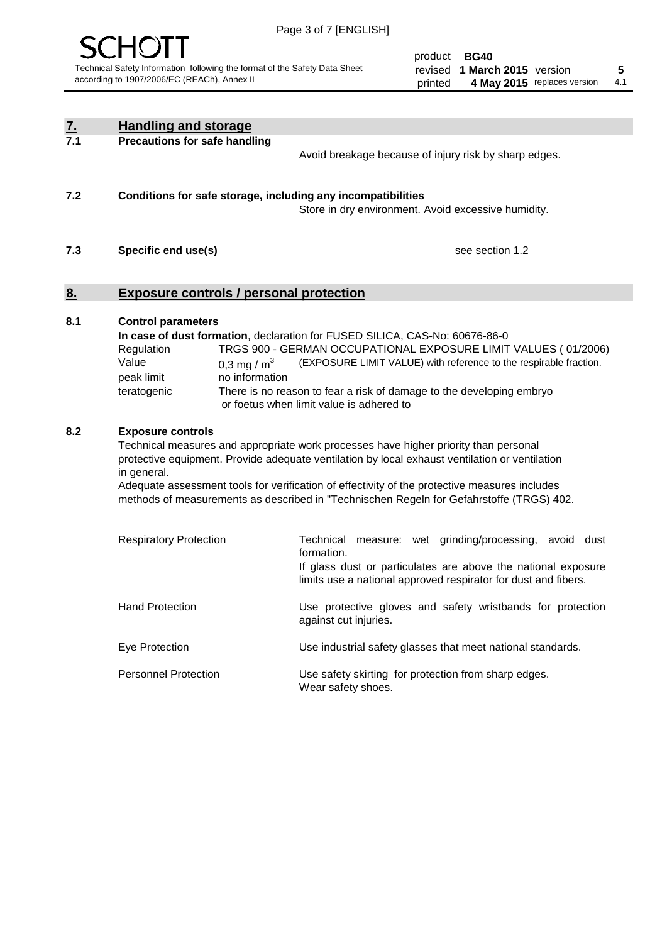

| <u>7.</u><br>7.1 | <b>Handling and storage</b>                                                   |                                 |                                                                                                                                                                                                                                                                                                                                                                                     |
|------------------|-------------------------------------------------------------------------------|---------------------------------|-------------------------------------------------------------------------------------------------------------------------------------------------------------------------------------------------------------------------------------------------------------------------------------------------------------------------------------------------------------------------------------|
|                  | <b>Precautions for safe handling</b>                                          |                                 | Avoid breakage because of injury risk by sharp edges.                                                                                                                                                                                                                                                                                                                               |
| 7.2              |                                                                               |                                 | Conditions for safe storage, including any incompatibilities<br>Store in dry environment. Avoid excessive humidity.                                                                                                                                                                                                                                                                 |
| 7.3              | Specific end use(s)                                                           |                                 | see section 1.2                                                                                                                                                                                                                                                                                                                                                                     |
| <u>8.</u>        | <b>Exposure controls / personal protection</b>                                |                                 |                                                                                                                                                                                                                                                                                                                                                                                     |
| 8.1              | <b>Control parameters</b><br>Regulation<br>Value<br>peak limit<br>teratogenic | 0,3 mg / $m3$<br>no information | In case of dust formation, declaration for FUSED SILICA, CAS-No: 60676-86-0<br>TRGS 900 - GERMAN OCCUPATIONAL EXPOSURE LIMIT VALUES (01/2006)<br>(EXPOSURE LIMIT VALUE) with reference to the respirable fraction.<br>There is no reason to fear a risk of damage to the developing embryo<br>or foetus when limit value is adhered to                                              |
| 8.2              | <b>Exposure controls</b><br>in general.                                       |                                 | Technical measures and appropriate work processes have higher priority than personal<br>protective equipment. Provide adequate ventilation by local exhaust ventilation or ventilation<br>Adequate assessment tools for verification of effectivity of the protective measures includes<br>methods of measurements as described in "Technischen Regeln for Gefahrstoffe (TRGS) 402. |
|                  | <b>Respiratory Protection</b>                                                 |                                 | Technical<br>measure: wet grinding/processing, avoid dust<br>formation.<br>If glass dust or particulates are above the national exposure<br>limits use a national approved respirator for dust and fibers.                                                                                                                                                                          |
|                  | <b>Hand Protection</b>                                                        |                                 | Use protective gloves and safety wristbands for protection<br>against cut injuries.                                                                                                                                                                                                                                                                                                 |
|                  | Eye Protection                                                                |                                 | Use industrial safety glasses that meet national standards.                                                                                                                                                                                                                                                                                                                         |
|                  | <b>Personnel Protection</b>                                                   |                                 | Use safety skirting for protection from sharp edges.<br>Wear safety shoes.                                                                                                                                                                                                                                                                                                          |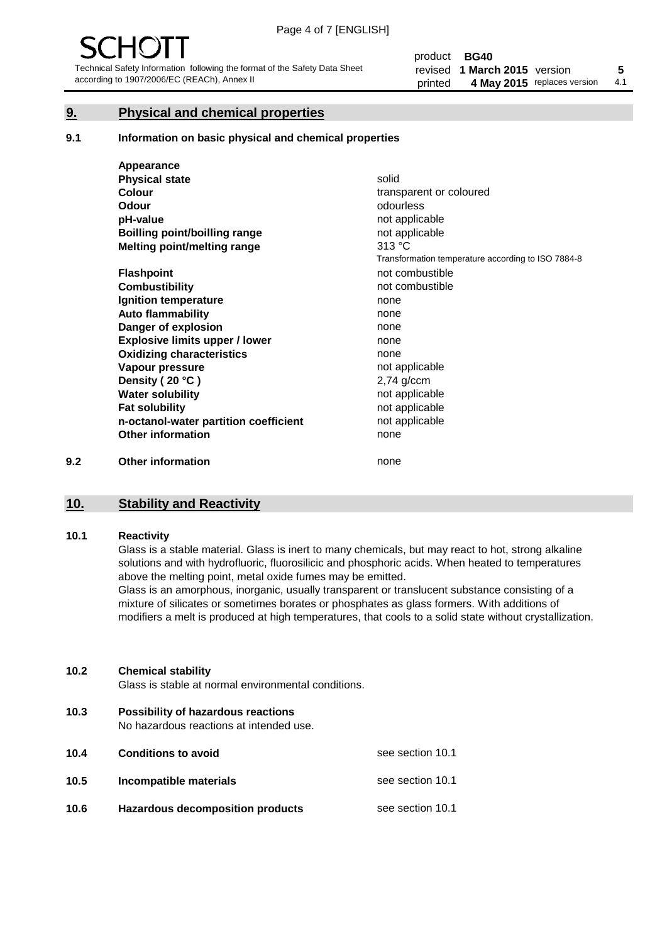#### **9. Physical and chemical properties**

#### **9.1 Information on basic physical and chemical properties**

|     | Appearance                            |                                                    |
|-----|---------------------------------------|----------------------------------------------------|
|     | <b>Physical state</b>                 | solid                                              |
|     | <b>Colour</b>                         | transparent or coloured                            |
|     | <b>Odour</b>                          | odourless                                          |
|     | pH-value                              | not applicable                                     |
|     | Boilling point/boilling range         | not applicable                                     |
|     | Melting point/melting range           | 313 °C                                             |
|     |                                       | Transformation temperature according to ISO 7884-8 |
|     | <b>Flashpoint</b>                     | not combustible                                    |
|     | <b>Combustibility</b>                 | not combustible                                    |
|     | Ignition temperature                  | none                                               |
|     | <b>Auto flammability</b>              | none                                               |
|     | Danger of explosion                   | none                                               |
|     | <b>Explosive limits upper / lower</b> | none                                               |
|     | <b>Oxidizing characteristics</b>      | none                                               |
|     | Vapour pressure                       | not applicable                                     |
|     | Density (20 °C)                       | $2,74$ g/ccm                                       |
|     | <b>Water solubility</b>               | not applicable                                     |
|     | <b>Fat solubility</b>                 | not applicable                                     |
|     | n-octanol-water partition coefficient | not applicable                                     |
|     | <b>Other information</b>              | none                                               |
| 9.2 | <b>Other information</b>              | none                                               |

#### **10. Stability and Reactivity**

#### **10.1 Reactivity**

Glass is a stable material. Glass is inert to many chemicals, but may react to hot, strong alkaline solutions and with hydrofluoric, fluorosilicic and phosphoric acids. When heated to temperatures above the melting point, metal oxide fumes may be emitted.

Glass is an amorphous, inorganic, usually transparent or translucent substance consisting of a mixture of silicates or sometimes borates or phosphates as glass formers. With additions of modifiers a melt is produced at high temperatures, that cools to a solid state without crystallization.

#### **10.2 Chemical stability**

Glass is stable at normal environmental conditions.

**10.3 Possibility of hazardous reactions** 

No hazardous reactions at intended use.

| 10.4 | <b>Conditions to avoid</b>              | see section 10.1 |
|------|-----------------------------------------|------------------|
| 10.5 | Incompatible materials                  | see section 10.1 |
| 10.6 | <b>Hazardous decomposition products</b> | see section 10.1 |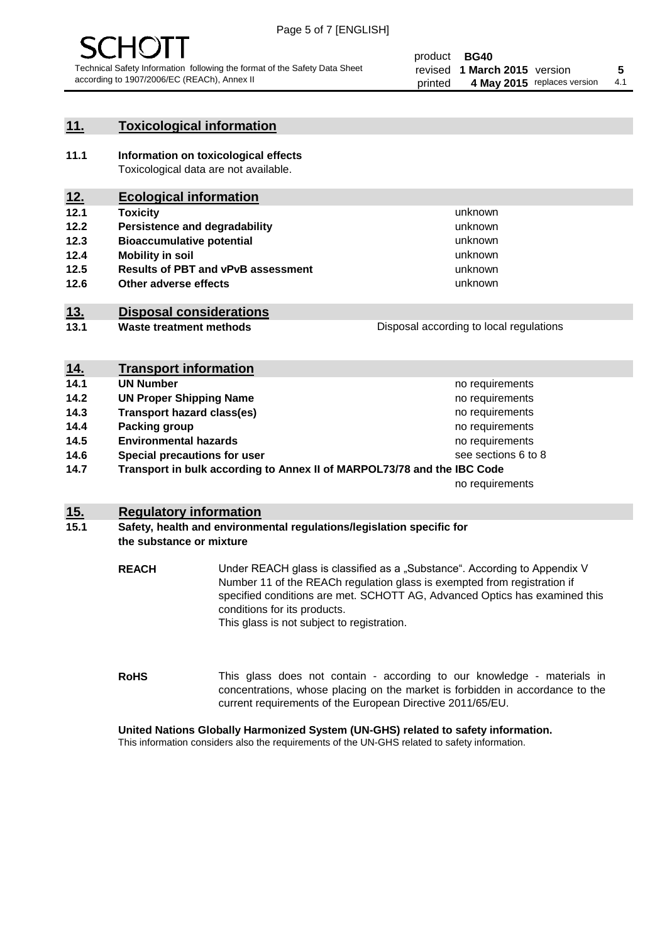

#### **11. Toxicological information**

**11.1 Information on toxicological effects** Toxicological data are not available.

### **12. Ecological information**

- **12.1 Toxicity**
- **12.2 Persistence and degradability**
- **12.3 Bioaccumulative potential**
- **12.4 Mobility in soil**
- **12.5 Results of PBT and vPvB assessment**
- **12.6 Other adverse effects**

#### **13. Disposal considerations**

**13.1 Waste treatment methods**

Disposal according to local regulations

unknown unknown unknown unknown

unknown unknown

| <u>14.</u> | <b>Transport information</b>                                            |                     |
|------------|-------------------------------------------------------------------------|---------------------|
| 14.1       | <b>UN Number</b>                                                        | no requirements     |
| 14.2       | <b>UN Proper Shipping Name</b>                                          | no requirements     |
| 14.3       | <b>Transport hazard class(es)</b>                                       | no requirements     |
| 14.4       | Packing group                                                           | no requirements     |
| 14.5       | <b>Environmental hazards</b>                                            | no requirements     |
| 14.6       | Special precautions for user                                            | see sections 6 to 8 |
| 14.7       | Transport in bulk according to Annex II of MARPOL73/78 and the IBC Code |                     |
|            |                                                                         | no requirements     |

#### **15. Regulatory information**

#### **15.1 Safety, health and environmental regulations/legislation specific for the substance or mixture**

**REACH** Under REACH glass is classified as a "Substance". According to Appendix V Number 11 of the REACh regulation glass is exempted from registration if specified conditions are met. SCHOTT AG, Advanced Optics has examined this conditions for its products. This glass is not subject to registration.

**RoHS** This glass does not contain - according to our knowledge - materials in concentrations, whose placing on the market is forbidden in accordance to the current requirements of the European Directive 2011/65/EU.

#### **United Nations Globally Harmonized System (UN-GHS) related to safety information.**

This information considers also the requirements of the UN-GHS related to safety information.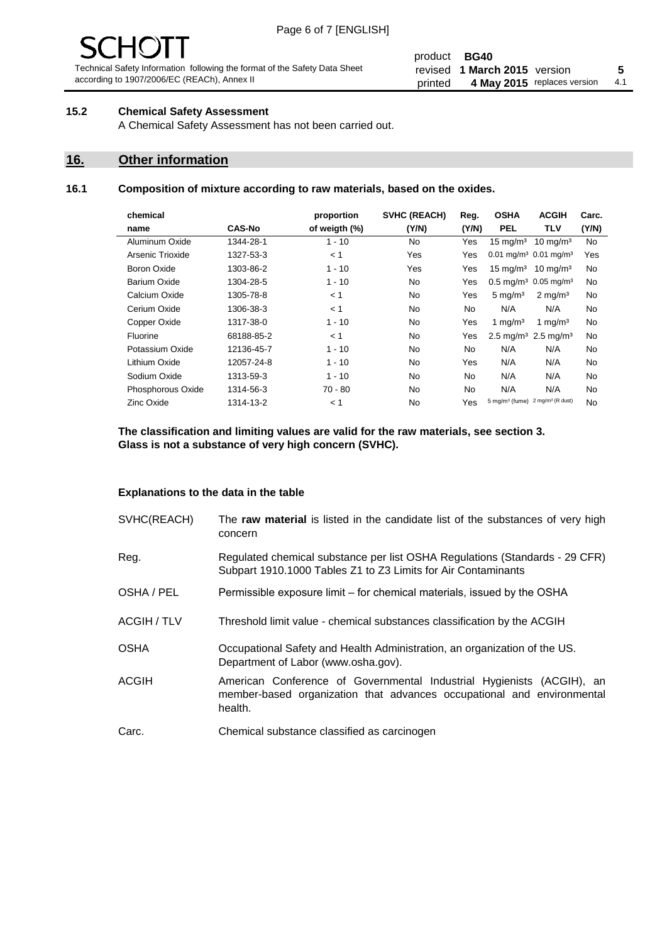# 1( )

Technical Safety Information following the format of the Safety Data Sheet according to 1907/2006/EC (REACh), Annex II

#### product **BG40** revised **5 1 March 2015** version printed 4 May 2015 replaces version 4.1

#### **15.2 Chemical Safety Assessment**

A Chemical Safety Assessment has not been carried out.

#### **16. Other information**

#### **16.1 Composition of mixture according to raw materials, based on the oxides.**

| chemical          |               | proportion    | <b>SVHC (REACH)</b> | Reg.  | <b>OSHA</b>                                             | <b>ACGIH</b>        | Carc. |
|-------------------|---------------|---------------|---------------------|-------|---------------------------------------------------------|---------------------|-------|
| name              | <b>CAS-No</b> | of weigth (%) | (Y/N)               | (Y/N) | <b>PEL</b>                                              | TLV                 | (Y/N) |
| Aluminum Oxide    | 1344-28-1     | $1 - 10$      | No                  | Yes   | $15 \text{ mg/m}^3$                                     | $10 \text{ mg/m}^3$ | No    |
| Arsenic Trioxide  | 1327-53-3     | < 1           | Yes                 | Yes   | $0.01$ mg/m <sup>3</sup> 0.01 mg/m <sup>3</sup>         |                     | Yes   |
| Boron Oxide       | 1303-86-2     | $1 - 10$      | Yes                 | Yes   | $15 \text{ mg/m}^3$                                     | $10 \text{ mg/m}^3$ | No    |
| Barium Oxide      | 1304-28-5     | $1 - 10$      | No                  | Yes   | $0.5 \text{ mg/m}^3$ 0.05 mg/m <sup>3</sup>             |                     | No    |
| Calcium Oxide     | 1305-78-8     | < 1           | No.                 | Yes   | $5 \text{ mg/m}^3$                                      | $2 \text{ mg/m}^3$  | No    |
| Cerium Oxide      | 1306-38-3     | < 1           | No.                 | No    | N/A                                                     | N/A                 | No    |
| Copper Oxide      | 1317-38-0     | $1 - 10$      | No                  | Yes   | 1 mg/m <sup>3</sup>                                     | 1 mg/m <sup>3</sup> | No    |
| Fluorine          | 68188-85-2    | < 1           | No                  | Yes   | 2.5 mg/m <sup>3</sup> 2.5 mg/m <sup>3</sup>             |                     | No    |
| Potassium Oxide   | 12136-45-7    | $1 - 10$      | No                  | No    | N/A                                                     | N/A                 | No    |
| Lithium Oxide     | 12057-24-8    | $1 - 10$      | No                  | Yes   | N/A                                                     | N/A                 | No    |
| Sodium Oxide      | 1313-59-3     | $1 - 10$      | <b>No</b>           | No    | N/A                                                     | N/A                 | No    |
| Phosphorous Oxide | 1314-56-3     | 70 - 80       | <b>No</b>           | No    | N/A                                                     | N/A                 | No    |
| <b>Zinc Oxide</b> | 1314-13-2     | < 1           | No                  | Yes   | 5 mg/m <sup>3</sup> (fume) 2 mg/m <sup>3</sup> (R dust) |                     | No    |
|                   |               |               |                     |       |                                                         |                     |       |

**The classification and limiting values are valid for the raw materials, see section 3. Glass is not a substance of very high concern (SVHC).**

#### **Explanations to the data in the table**

| SVHC(REACH)        | The raw material is listed in the candidate list of the substances of very high<br>concern                                                                 |
|--------------------|------------------------------------------------------------------------------------------------------------------------------------------------------------|
| Reg.               | Regulated chemical substance per list OSHA Regulations (Standards - 29 CFR)<br>Subpart 1910.1000 Tables Z1 to Z3 Limits for Air Contaminants               |
| OSHA / PEL         | Permissible exposure limit – for chemical materials, issued by the OSHA                                                                                    |
| <b>ACGIH / TLV</b> | Threshold limit value - chemical substances classification by the ACGIH                                                                                    |
| <b>OSHA</b>        | Occupational Safety and Health Administration, an organization of the US.<br>Department of Labor (www.osha.gov).                                           |
| <b>ACGIH</b>       | American Conference of Governmental Industrial Hygienists (ACGIH), an<br>member-based organization that advances occupational and environmental<br>health. |
| Carc.              | Chemical substance classified as carcinogen                                                                                                                |